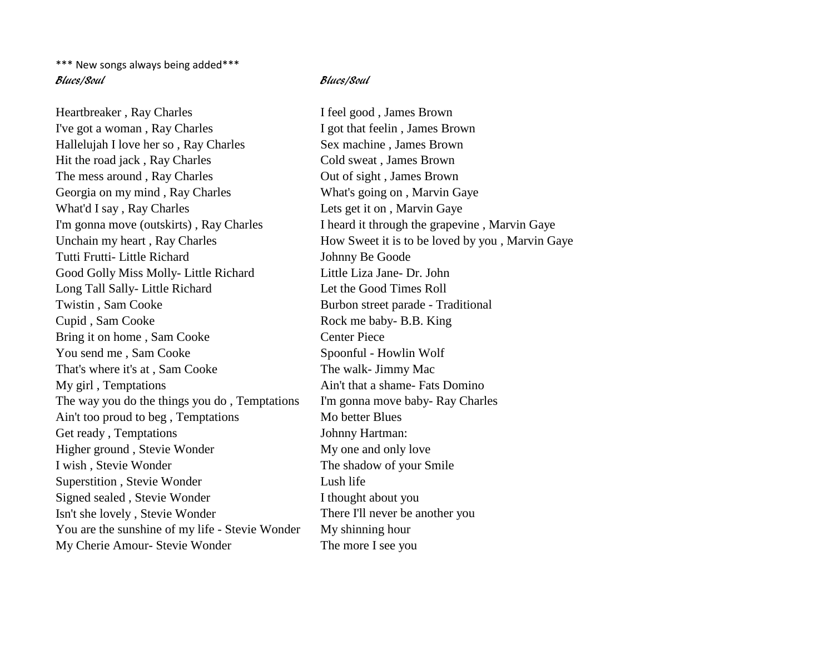\*\*\* New songs always being added\*\*\* Blues/Soul Blues/Soul

Heartbreaker, Ray Charles I feel good, James Brown I've got a woman, Ray Charles I got that feelin, James Brown Hallelujah I love her so, Ray Charles Sex machine, James Brown Hit the road jack, Ray Charles Cold sweat, James Brown The mess around, Ray Charles Out of sight, James Brown Georgia on my mind, Ray Charles What's going on, Marvin Gaye What'd I say, Ray Charles Lets get it on, Marvin Gaye I'm gonna move (outskirts), Ray Charles I heard it through the grapevine, Marvin Gaye Tutti Frutti- Little Richard Johnny Be Goode Good Golly Miss Molly- Little Richard Little Liza Jane- Dr. John Long Tall Sally- Little Richard Let the Good Times Roll Twistin, Sam Cooke Burbon street parade - Traditional Cupid , Sam Cooke Rock me baby- B.B. King Bring it on home, Sam Cooke Center Piece You send me, Sam Cooke Spoonful - Howlin Wolf That's where it's at, Sam Cooke The walk- Jimmy Mac My girl, Temptations Ain't that a shame- Fats Domino The way you do the things you do, Temptations I'm gonna move baby-Ray Charles Ain't too proud to beg, Temptations Mo better Blues Get ready, Temptations Johnny Hartman: Higher ground, Stevie Wonder My one and only love I wish, Stevie Wonder The shadow of your Smile Superstition , Stevie Wonder Lush life Signed sealed , Stevie Wonder I thought about you Isn't she lovely , Stevie Wonder There I'll never be another you You are the sunshine of my life - Stevie Wonder My shinning hour My Cherie Amour- Stevie Wonder The more I see you

Unchain my heart, Ray Charles How Sweet it is to be loved by you, Marvin Gaye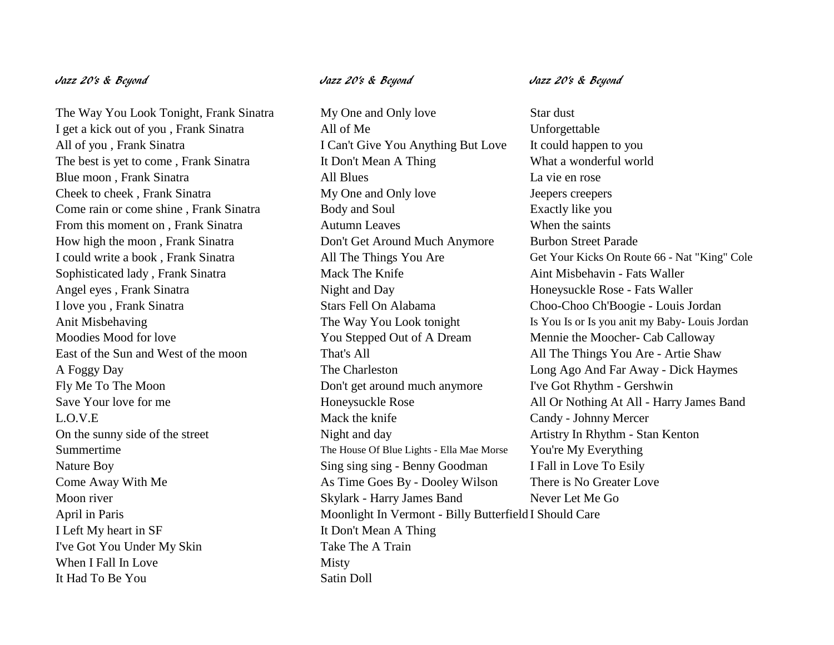The Way You Look Tonight, Frank Sinatra My One and Only love Star dust I get a kick out of you , Frank Sinatra All of Me Unforgettable All of you, Frank Sinatra I Can't Give You Anything But Love It could happen to you The best is yet to come, Frank Sinatra It Don't Mean A Thing What a wonderful world Blue moon , Frank Sinatra All Blues La vie en rose Cheek to cheek, Frank Sinatra My One and Only love Jeepers creepers Come rain or come shine, Frank Sinatra Body and Soul Bossetty like you From this moment on , Frank Sinatra **Autumn Leaves** When the saints How high the moon , Frank Sinatra Don't Get Around Much Anymore Burbon Street Parade Sophisticated lady , Frank Sinatra Mack The Knife Aint Misbehavin - Fats Waller Angel eyes, Frank Sinatra Night and Day Honeysuckle Rose - Fats Waller I love you , Frank Sinatra Stars Fell On Alabama Choo-Choo Ch'Boogie - Louis Jordan Moodies Mood for love You Stepped Out of A Dream Mennie the Moocher- Cab Calloway East of the Sun and West of the moon That's All The Things You Are - Artie Shaw Fly Me To The Moon Don't get around much anymore I've Got Rhythm - Gershwin L.O.V.E Mack the knife Candy - Johnny Mercer On the sunny side of the street Night and day Artistry In Rhythm - Stan Kenton Summertime The House Of Blue Lights - Ella Mae Morse You're My Everything Nature Boy Sing sing sing sing - Benny Goodman I Fall in Love To Esily Come Away With Me As Time Goes By - Dooley Wilson There is No Greater Love Moon river Skylark - Harry James Band Never Let Me Go April in Paris Moonlight In Vermont - Billy Butterfield I Should Care I Left My heart in SF It Don't Mean A Thing I've Got You Under My Skin Take The A Train When I Fall In Love Misty It Had To Be You Satin Doll

I could write a book, Frank Sinatra <br>All The Things You Are Get Your Kicks On Route 66 - Nat "King" Cole Anit Misbehaving The Way You Look tonight Is You Is or Is you anit my Baby- Louis Jordan A Foggy Day The Charleston Long Ago And Far Away - Dick Haymes Save Your love for me 
Honeysuckle Rose All Or Nothing At All - Harry James Band

# Jazz 20's & Beyond Jazz 20's & Beyond Jazz 20's & Beyond